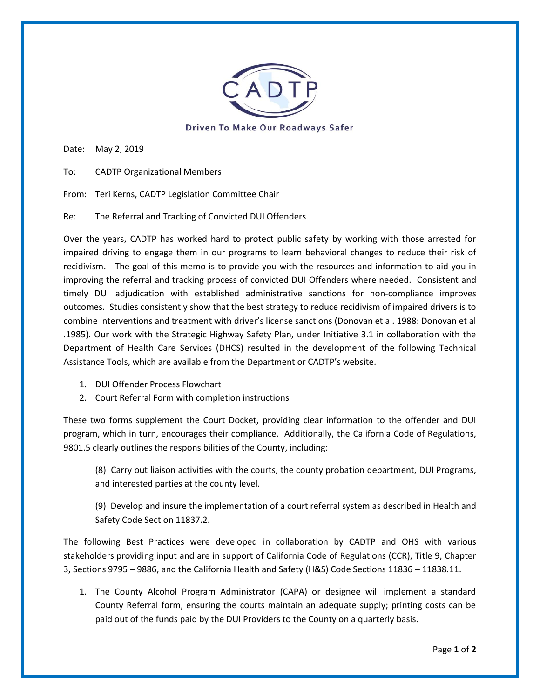

Driven To Make Our Roadways Safer

Date: May 2, 2019

To: CADTP Organizational Members

From: Teri Kerns, CADTP Legislation Committee Chair

Re: The Referral and Tracking of Convicted DUI Offenders

Over the years, CADTP has worked hard to protect public safety by working with those arrested for impaired driving to engage them in our programs to learn behavioral changes to reduce their risk of recidivism. The goal of this memo is to provide you with the resources and information to aid you in improving the referral and tracking process of convicted DUI Offenders where needed. Consistent and timely DUI adjudication with established administrative sanctions for non-compliance improves outcomes. Studies consistently show that the best strategy to reduce recidivism of impaired drivers is to combine interventions and treatment with driver's license sanctions (Donovan et al. 1988: Donovan et al .1985). Our work with the Strategic Highway Safety Plan, under Initiative 3.1 in collaboration with the Department of Health Care Services (DHCS) resulted in the development of the following Technical Assistance Tools, which are available from the Department or CADTP's website.

- 1. DUI Offender Process Flowchart
- 2. Court Referral Form with completion instructions

These two forms supplement the Court Docket, providing clear information to the offender and DUI program, which in turn, encourages their compliance. Additionally, the California Code of Regulations, 9801.5 clearly outlines the responsibilities of the County, including:

(8) Carry out liaison activities with the courts, the county probation department, DUI Programs, and interested parties at the county level.

(9) Develop and insure the implementation of a court referral system as described in Health and Safety Code Section 11837.2.

The following Best Practices were developed in collaboration by CADTP and OHS with various stakeholders providing input and are in support of California Code of Regulations (CCR), Title 9, Chapter 3, Sections 9795 – 9886, and the California Health and Safety (H&S) Code Sections 11836 – 11838.11.

1. The County Alcohol Program Administrator (CAPA) or designee will implement a standard County Referral form, ensuring the courts maintain an adequate supply; printing costs can be paid out of the funds paid by the DUI Providers to the County on a quarterly basis.